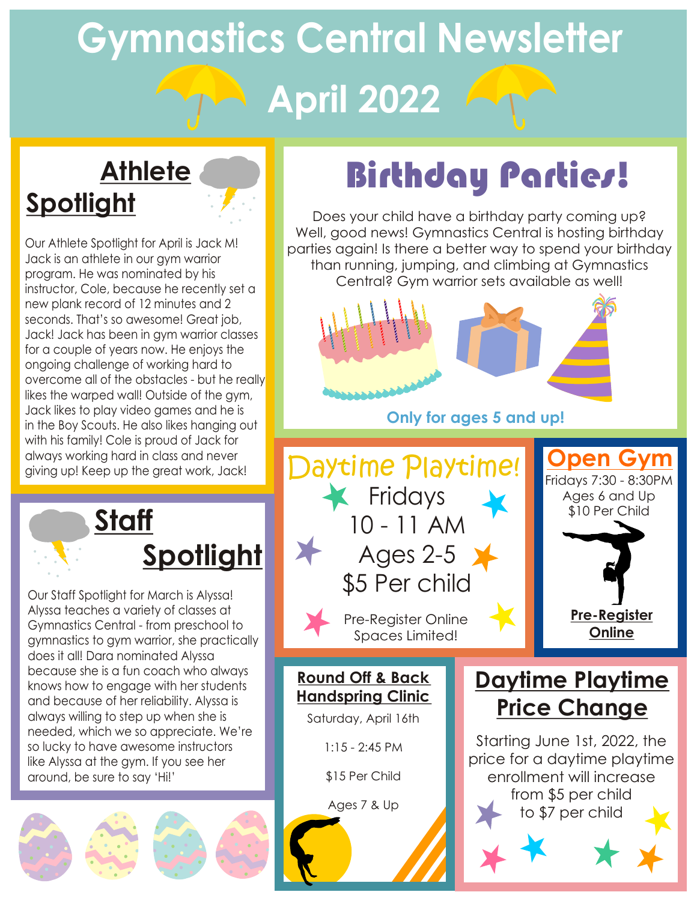# **Gymnastics Central Newsletter April 2022**

## **Athlete Spotlight**

Our Athlete Spotlight for April is Jack M! Jack is an athlete in our gym warrior program. He was nominated by his instructor, Cole, because he recently set a new plank record of 12 minutes and 2 seconds. That's so awesome! Great job, Jack! Jack has been in gym warrior classes for a couple of years now. He enjoys the ongoing challenge of working hard to overcome all of the obstacles - but he really likes the warped wall! Outside of the gym, Jack likes to play video games and he is in the Boy Scouts. He also likes hanging out with his family! Cole is proud of Jack for always working hard in class and never

> **Staff Spotlight**

Our Staff Spotlight for March is Alyssa! Alyssa teaches a variety of classes at Gymnastics Central - from preschool to gymnastics to gym warrior, she practically does it all! Dara nominated Alyssa because she is a fun coach who always knows how to engage with her students and because of her reliability. Alyssa is always willing to step up when she is needed, which we so appreciate. We're so lucky to have awesome instructors like Alyssa at the gym. If you see her around, be sure to say 'Hi!'



## Birthday Parties!

Does your child have a birthday party coming up? Well, good news! Gymnastics Central is hosting birthday parties again! Is there a better way to spend your birthday than running, jumping, and climbing at Gymnastics Central? Gym warrior sets available as well!



**Only for ages 5 and up!**



**Round Off & Back Handspring Clinic**

Saturday, April 16th

1:15 - 2:45 PM

\$15 Per Child

Ages 7 & Up

## **Daytime Playtime Price Change**

Starting June 1st, 2022, the price for a daytime playtime enrollment will increase from \$5 per child to \$7 per child